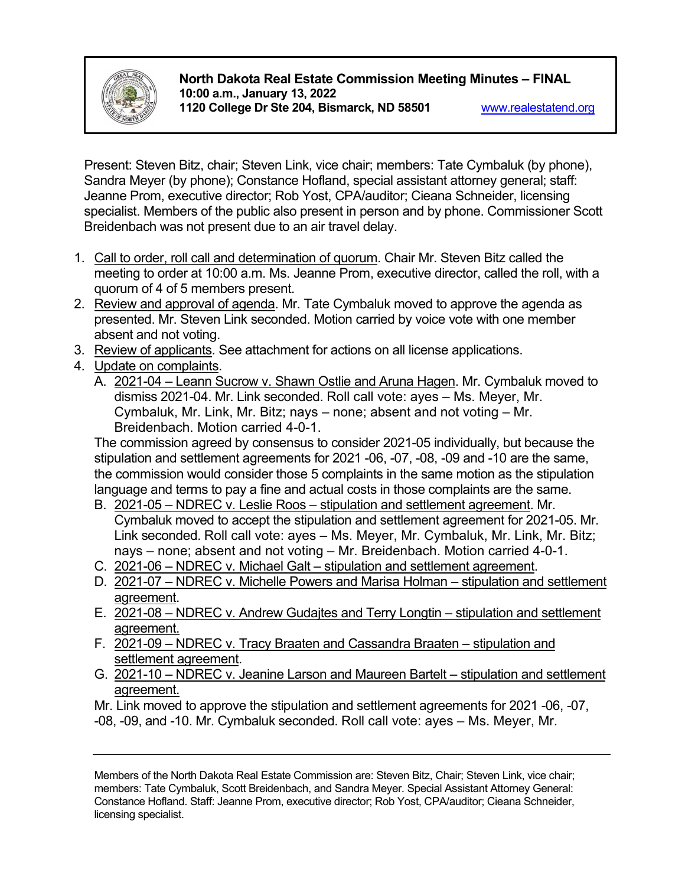

# **North Dakota Real Estate Commission Meeting Minutes – FINAL 10:00 a.m., January 13, 2022 1120 College Dr Ste 204, Bismarck, ND 58501** [www.realestatend.org](http://www.realestatend.org/)

Present: Steven Bitz, chair; Steven Link, vice chair; members: Tate Cymbaluk (by phone), Sandra Meyer (by phone); Constance Hofland, special assistant attorney general; staff: Jeanne Prom, executive director; Rob Yost, CPA/auditor; Cieana Schneider, licensing specialist. Members of the public also present in person and by phone. Commissioner Scott Breidenbach was not present due to an air travel delay.

- 1. Call to order, roll call and determination of quorum. Chair Mr. Steven Bitz called the meeting to order at 10:00 a.m. Ms. Jeanne Prom, executive director, called the roll, with a quorum of 4 of 5 members present.
- 2. Review and approval of agenda. Mr. Tate Cymbaluk moved to approve the agenda as presented. Mr. Steven Link seconded. Motion carried by voice vote with one member absent and not voting.
- 3. Review of applicants. See attachment for actions on all license applications.
- 4. Update on complaints.
	- A. 2021-04 Leann Sucrow v. Shawn Ostlie and Aruna Hagen. Mr. Cymbaluk moved to dismiss 2021-04. Mr. Link seconded. Roll call vote: ayes – Ms. Meyer, Mr. Cymbaluk, Mr. Link, Mr. Bitz; nays – none; absent and not voting – Mr. Breidenbach. Motion carried 4-0-1.

The commission agreed by consensus to consider 2021-05 individually, but because the stipulation and settlement agreements for 2021 -06, -07, -08, -09 and -10 are the same, the commission would consider those 5 complaints in the same motion as the stipulation language and terms to pay a fine and actual costs in those complaints are the same.

- B. 2021-05 NDREC v. Leslie Roos stipulation and settlement agreement. Mr. Cymbaluk moved to accept the stipulation and settlement agreement for 2021-05. Mr. Link seconded. Roll call vote: ayes – Ms. Meyer, Mr. Cymbaluk, Mr. Link, Mr. Bitz; nays – none; absent and not voting – Mr. Breidenbach. Motion carried 4-0-1.
- C. 2021-06 NDREC v. Michael Galt stipulation and settlement agreement.
- D. 2021-07 NDREC v. Michelle Powers and Marisa Holman stipulation and settlement agreement.
- E. 2021-08 NDREC v. Andrew Gudajtes and Terry Longtin stipulation and settlement agreement.
- F. 2021-09 NDREC v. Tracy Braaten and Cassandra Braaten stipulation and settlement agreement.
- G. 2021-10 NDREC v. Jeanine Larson and Maureen Bartelt stipulation and settlement agreement.

Mr. Link moved to approve the stipulation and settlement agreements for 2021 -06, -07,

-08, -09, and -10. Mr. Cymbaluk seconded. Roll call vote: ayes – Ms. Meyer, Mr.

Members of the North Dakota Real Estate Commission are: Steven Bitz, Chair; Steven Link, vice chair; members: Tate Cymbaluk, Scott Breidenbach, and Sandra Meyer. Special Assistant Attorney General: Constance Hofland. Staff: Jeanne Prom, executive director; Rob Yost, CPA/auditor; Cieana Schneider, licensing specialist.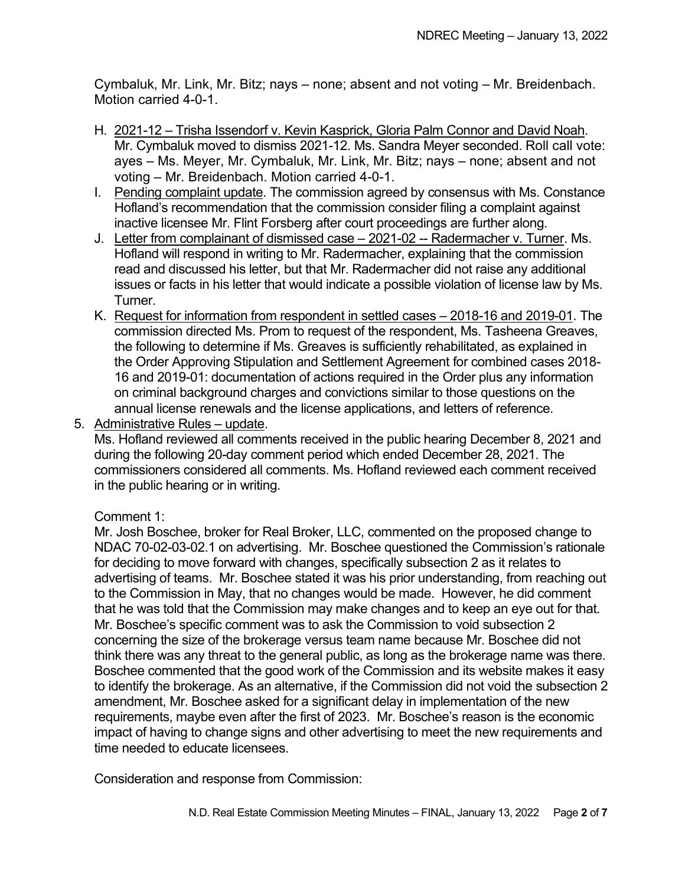Cymbaluk, Mr. Link, Mr. Bitz; nays – none; absent and not voting – Mr. Breidenbach. Motion carried 4-0-1.

- H. 2021-12 Trisha Issendorf v. Kevin Kasprick, Gloria Palm Connor and David Noah. Mr. Cymbaluk moved to dismiss 2021-12. Ms. Sandra Meyer seconded. Roll call vote: ayes – Ms. Meyer, Mr. Cymbaluk, Mr. Link, Mr. Bitz; nays – none; absent and not voting – Mr. Breidenbach. Motion carried 4-0-1.
- I. Pending complaint update. The commission agreed by consensus with Ms. Constance Hofland's recommendation that the commission consider filing a complaint against inactive licensee Mr. Flint Forsberg after court proceedings are further along.
- J. Letter from complainant of dismissed case 2021-02 -- Radermacher v. Turner. Ms. Hofland will respond in writing to Mr. Radermacher, explaining that the commission read and discussed his letter, but that Mr. Radermacher did not raise any additional issues or facts in his letter that would indicate a possible violation of license law by Ms. Turner.
- K. Request for information from respondent in settled cases 2018-16 and 2019-01. The commission directed Ms. Prom to request of the respondent, Ms. Tasheena Greaves, the following to determine if Ms. Greaves is sufficiently rehabilitated, as explained in the Order Approving Stipulation and Settlement Agreement for combined cases 2018- 16 and 2019-01: documentation of actions required in the Order plus any information on criminal background charges and convictions similar to those questions on the annual license renewals and the license applications, and letters of reference.
- 5. Administrative Rules update.

Ms. Hofland reviewed all comments received in the public hearing December 8, 2021 and during the following 20-day comment period which ended December 28, 2021. The commissioners considered all comments. Ms. Hofland reviewed each comment received in the public hearing or in writing.

### Comment 1:

Mr. Josh Boschee, broker for Real Broker, LLC, commented on the proposed change to NDAC 70-02-03-02.1 on advertising. Mr. Boschee questioned the Commission's rationale for deciding to move forward with changes, specifically subsection 2 as it relates to advertising of teams. Mr. Boschee stated it was his prior understanding, from reaching out to the Commission in May, that no changes would be made. However, he did comment that he was told that the Commission may make changes and to keep an eye out for that. Mr. Boschee's specific comment was to ask the Commission to void subsection 2 concerning the size of the brokerage versus team name because Mr. Boschee did not think there was any threat to the general public, as long as the brokerage name was there. Boschee commented that the good work of the Commission and its website makes it easy to identify the brokerage. As an alternative, if the Commission did not void the subsection 2 amendment, Mr. Boschee asked for a significant delay in implementation of the new requirements, maybe even after the first of 2023. Mr. Boschee's reason is the economic impact of having to change signs and other advertising to meet the new requirements and time needed to educate licensees.

Consideration and response from Commission: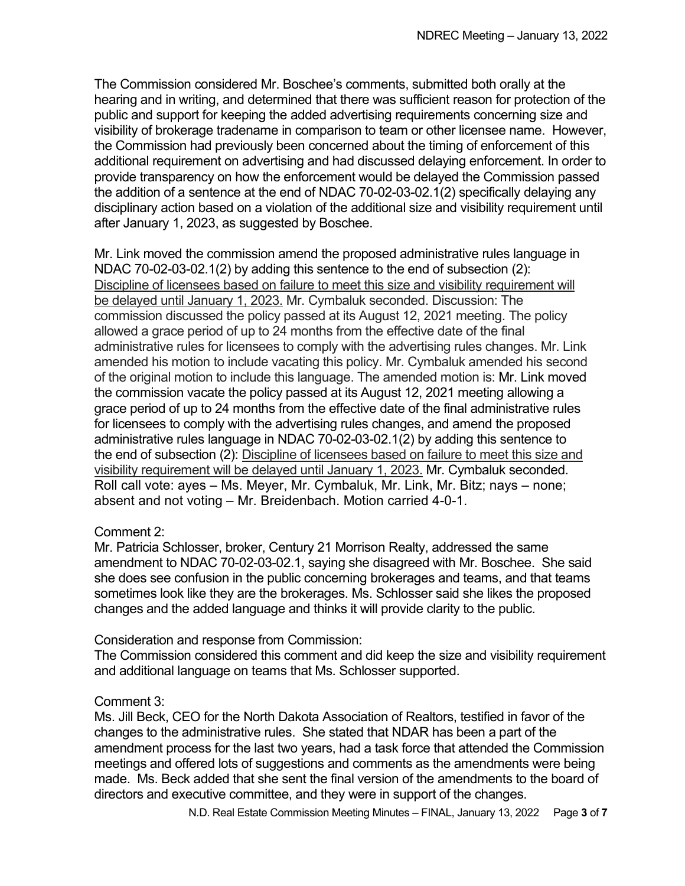The Commission considered Mr. Boschee's comments, submitted both orally at the hearing and in writing, and determined that there was sufficient reason for protection of the public and support for keeping the added advertising requirements concerning size and visibility of brokerage tradename in comparison to team or other licensee name. However, the Commission had previously been concerned about the timing of enforcement of this additional requirement on advertising and had discussed delaying enforcement. In order to provide transparency on how the enforcement would be delayed the Commission passed the addition of a sentence at the end of NDAC 70-02-03-02.1(2) specifically delaying any disciplinary action based on a violation of the additional size and visibility requirement until after January 1, 2023, as suggested by Boschee.

Mr. Link moved the commission amend the proposed administrative rules language in NDAC 70-02-03-02.1(2) by adding this sentence to the end of subsection (2): Discipline of licensees based on failure to meet this size and visibility requirement will be delayed until January 1, 2023. Mr. Cymbaluk seconded. Discussion: The commission discussed the policy passed at its August 12, 2021 meeting. The policy allowed a grace period of up to 24 months from the effective date of the final administrative rules for licensees to comply with the advertising rules changes. Mr. Link amended his motion to include vacating this policy. Mr. Cymbaluk amended his second of the original motion to include this language. The amended motion is: Mr. Link moved the commission vacate the policy passed at its August 12, 2021 meeting allowing a grace period of up to 24 months from the effective date of the final administrative rules for licensees to comply with the advertising rules changes, and amend the proposed administrative rules language in NDAC 70-02-03-02.1(2) by adding this sentence to the end of subsection (2): Discipline of licensees based on failure to meet this size and visibility requirement will be delayed until January 1, 2023. Mr. Cymbaluk seconded. Roll call vote: ayes – Ms. Meyer, Mr. Cymbaluk, Mr. Link, Mr. Bitz; nays – none; absent and not voting – Mr. Breidenbach. Motion carried 4-0-1.

### Comment 2:

Mr. Patricia Schlosser, broker, Century 21 Morrison Realty, addressed the same amendment to NDAC 70-02-03-02.1, saying she disagreed with Mr. Boschee. She said she does see confusion in the public concerning brokerages and teams, and that teams sometimes look like they are the brokerages. Ms. Schlosser said she likes the proposed changes and the added language and thinks it will provide clarity to the public.

### Consideration and response from Commission:

The Commission considered this comment and did keep the size and visibility requirement and additional language on teams that Ms. Schlosser supported.

#### Comment 3:

Ms. Jill Beck, CEO for the North Dakota Association of Realtors, testified in favor of the changes to the administrative rules. She stated that NDAR has been a part of the amendment process for the last two years, had a task force that attended the Commission meetings and offered lots of suggestions and comments as the amendments were being made. Ms. Beck added that she sent the final version of the amendments to the board of directors and executive committee, and they were in support of the changes.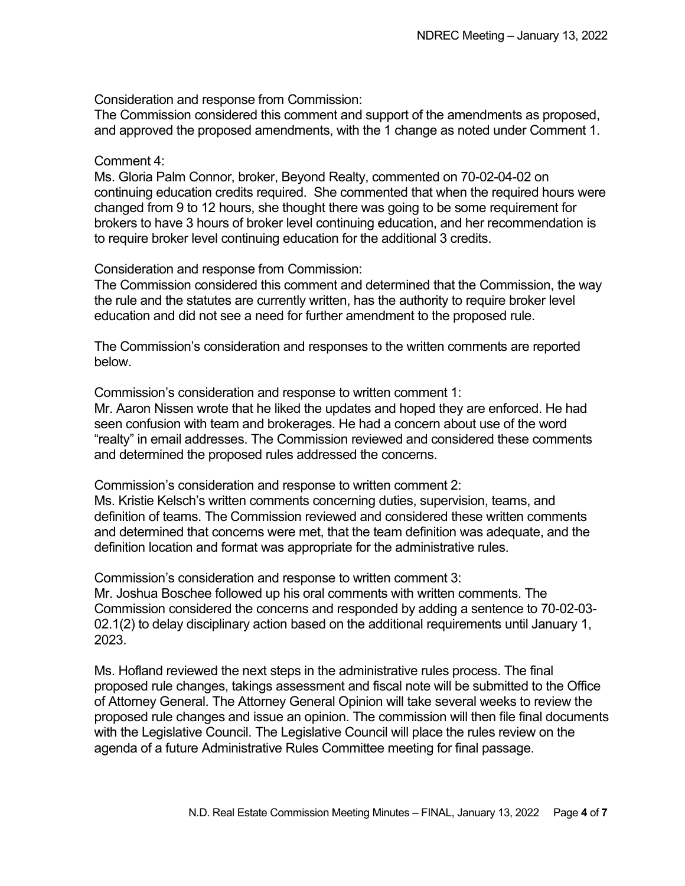Consideration and response from Commission:

The Commission considered this comment and support of the amendments as proposed, and approved the proposed amendments, with the 1 change as noted under Comment 1.

#### Comment 4:

Ms. Gloria Palm Connor, broker, Beyond Realty, commented on 70-02-04-02 on continuing education credits required. She commented that when the required hours were changed from 9 to 12 hours, she thought there was going to be some requirement for brokers to have 3 hours of broker level continuing education, and her recommendation is to require broker level continuing education for the additional 3 credits.

Consideration and response from Commission:

The Commission considered this comment and determined that the Commission, the way the rule and the statutes are currently written, has the authority to require broker level education and did not see a need for further amendment to the proposed rule.

The Commission's consideration and responses to the written comments are reported below.

Commission's consideration and response to written comment 1:

Mr. Aaron Nissen wrote that he liked the updates and hoped they are enforced. He had seen confusion with team and brokerages. He had a concern about use of the word "realty" in email addresses. The Commission reviewed and considered these comments and determined the proposed rules addressed the concerns.

Commission's consideration and response to written comment 2:

Ms. Kristie Kelsch's written comments concerning duties, supervision, teams, and definition of teams. The Commission reviewed and considered these written comments and determined that concerns were met, that the team definition was adequate, and the definition location and format was appropriate for the administrative rules.

Commission's consideration and response to written comment 3:

Mr. Joshua Boschee followed up his oral comments with written comments. The Commission considered the concerns and responded by adding a sentence to 70-02-03- 02.1(2) to delay disciplinary action based on the additional requirements until January 1, 2023.

Ms. Hofland reviewed the next steps in the administrative rules process. The final proposed rule changes, takings assessment and fiscal note will be submitted to the Office of Attorney General. The Attorney General Opinion will take several weeks to review the proposed rule changes and issue an opinion. The commission will then file final documents with the Legislative Council. The Legislative Council will place the rules review on the agenda of a future Administrative Rules Committee meeting for final passage.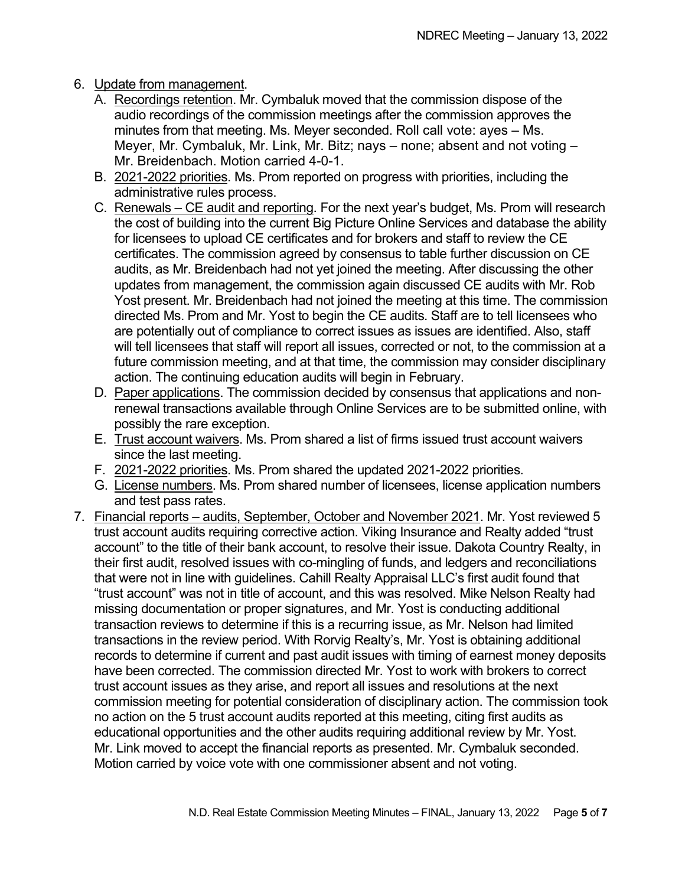## 6. Update from management.

- A. Recordings retention. Mr. Cymbaluk moved that the commission dispose of the audio recordings of the commission meetings after the commission approves the minutes from that meeting. Ms. Meyer seconded. Roll call vote: ayes – Ms. Meyer, Mr. Cymbaluk, Mr. Link, Mr. Bitz; nays – none; absent and not voting – Mr. Breidenbach. Motion carried 4-0-1.
- B. 2021-2022 priorities. Ms. Prom reported on progress with priorities, including the administrative rules process.
- C. Renewals CE audit and reporting. For the next year's budget, Ms. Prom will research the cost of building into the current Big Picture Online Services and database the ability for licensees to upload CE certificates and for brokers and staff to review the CE certificates. The commission agreed by consensus to table further discussion on CE audits, as Mr. Breidenbach had not yet joined the meeting. After discussing the other updates from management, the commission again discussed CE audits with Mr. Rob Yost present. Mr. Breidenbach had not joined the meeting at this time. The commission directed Ms. Prom and Mr. Yost to begin the CE audits. Staff are to tell licensees who are potentially out of compliance to correct issues as issues are identified. Also, staff will tell licensees that staff will report all issues, corrected or not, to the commission at a future commission meeting, and at that time, the commission may consider disciplinary action. The continuing education audits will begin in February.
- D. Paper applications. The commission decided by consensus that applications and nonrenewal transactions available through Online Services are to be submitted online, with possibly the rare exception.
- E. Trust account waivers. Ms. Prom shared a list of firms issued trust account waivers since the last meeting.
- F. 2021-2022 priorities. Ms. Prom shared the updated 2021-2022 priorities.
- G. License numbers. Ms. Prom shared number of licensees, license application numbers and test pass rates.
- 7. Financial reports audits, September, October and November 2021. Mr. Yost reviewed 5 trust account audits requiring corrective action. Viking Insurance and Realty added "trust account" to the title of their bank account, to resolve their issue. Dakota Country Realty, in their first audit, resolved issues with co-mingling of funds, and ledgers and reconciliations that were not in line with guidelines. Cahill Realty Appraisal LLC's first audit found that "trust account" was not in title of account, and this was resolved. Mike Nelson Realty had missing documentation or proper signatures, and Mr. Yost is conducting additional transaction reviews to determine if this is a recurring issue, as Mr. Nelson had limited transactions in the review period. With Rorvig Realty's, Mr. Yost is obtaining additional records to determine if current and past audit issues with timing of earnest money deposits have been corrected. The commission directed Mr. Yost to work with brokers to correct trust account issues as they arise, and report all issues and resolutions at the next commission meeting for potential consideration of disciplinary action. The commission took no action on the 5 trust account audits reported at this meeting, citing first audits as educational opportunities and the other audits requiring additional review by Mr. Yost. Mr. Link moved to accept the financial reports as presented. Mr. Cymbaluk seconded. Motion carried by voice vote with one commissioner absent and not voting.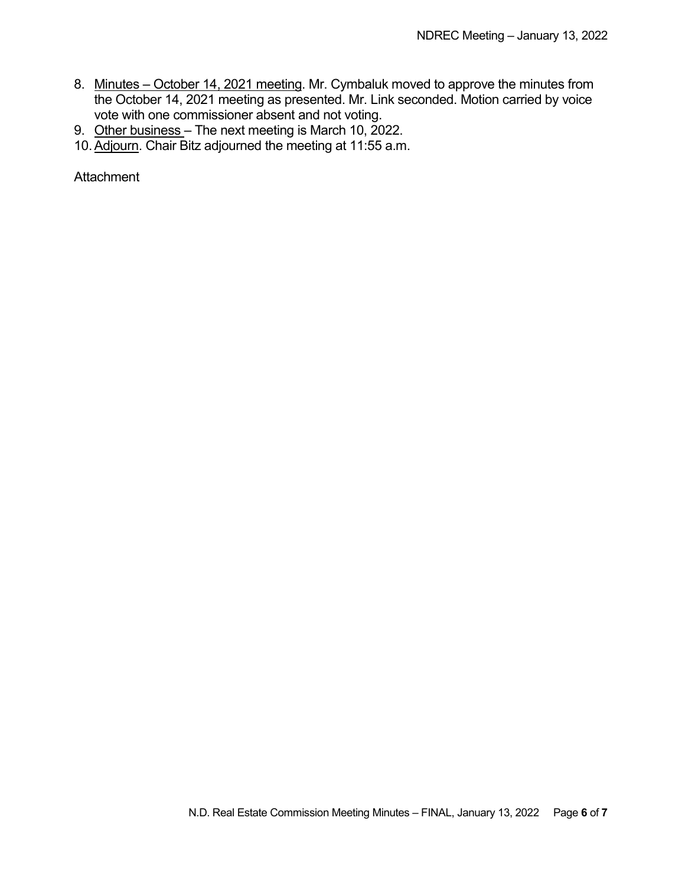- 8. Minutes October 14, 2021 meeting. Mr. Cymbaluk moved to approve the minutes from the October 14, 2021 meeting as presented. Mr. Link seconded. Motion carried by voice vote with one commissioner absent and not voting.
- 9. Other business The next meeting is March 10, 2022.
- 10. Adjourn. Chair Bitz adjourned the meeting at 11:55 a.m.

**Attachment**